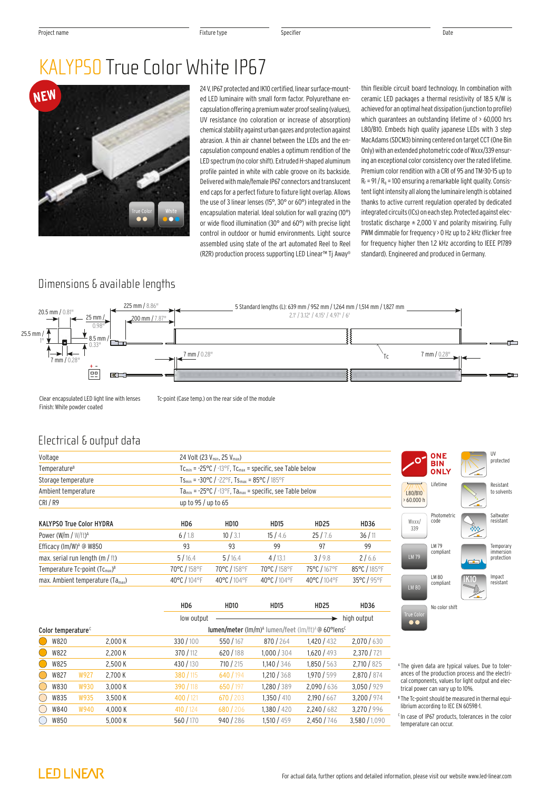# KALYPSO True Color White IP67



24 V, IP67 protected and IK10 certified, linear surface-mounted LED luminaire with small form factor. Polyurethane encapsulation offering a premium water proof sealing (values), UV resistance (no coloration or increase of absorption) chemical stability against urban gazes and protection against abrasion. A thin air channel between the LEDs and the encapsulation compound enables a optimum rendition of the LED spectrum (no color shift). Extruded H-shaped aluminum profile painted in white with cable groove on its backside. Delivered with male/female IP67 connectors and translucent end caps for a perfect fixture to fixture light overlap. Allows the use of 3 linear lenses (15°, 30° or 60°) integrated in the encapsulation material. Ideal solution for wall grazing (10°) or wide flood illumination (30° and 60°) with precise light control in outdoor or humid environments. Light source assembled using state of the art automated Reel to Reel (R2R) production process supporting LED Linear™ Tj Away®

thin flexible circuit board technology. In combination with ceramic LED packages a thermal resistivity of 18.5 K/W is achieved for an optimal heat dissipation (junction to profile) which guarantees an outstanding lifetime of > 60,000 hrs L80/B10. Embeds high quality japanese LEDs with 3 step MacAdams (SDCM3) binning centered on target CCT (One Bin Only) with an extended photometric code of Wxxx/339 ensuring an exceptional color consistency over the rated lifetime. Premium color rendition with a CRI of 95 and TM-30-15 up to  $R_f$  = 91 /  $R_q$  = 100 ensuring a remarkable light quality. Consistent light intensity all along the luminaire length is obtained thanks to active current regulation operated by dedicated integrated circuits (ICs) on each step. Protected against electrostatic discharge  $\pm$  2,000 V and polarity miswiring. Fully PWM dimmable for frequency > 0 Hz up to 2 kHz (flicker free for frequency higher then 1.2 kHz according to IEEE P1789 standard). Engineered and produced in Germany.

## Dimensions & available lengths



Clear encapsulated LED light line with lenses Finish: White powder coated

Tc-point (Case temp.) on the rear side of the module

#### Electrical & output data

| Voltage                                          |                 | 24 Volt (23 $V_{min}$ , 25 $V_{max}$ )                                                           |              |              |              |  |  |  |
|--------------------------------------------------|-----------------|--------------------------------------------------------------------------------------------------|--------------|--------------|--------------|--|--|--|
| Temperature <sup>B</sup>                         |                 | $Tc_{min}$ = -25°C / -13°F, $Tc_{max}$ = specific, see Table below                               |              |              |              |  |  |  |
| Storage temperature                              |                 | $Ts_{\text{min}} = -30^{\circ}C / -22^{\circ}F$ , $Ts_{\text{max}} = 85^{\circ}C / 185^{\circ}F$ |              |              |              |  |  |  |
| Ambient temperature                              |                 | $Ta_{min} = -25^{\circ}C / -13^{\circ}F$ , $Ta_{max} = specific$ , see Table below               |              |              |              |  |  |  |
| CRI/R9                                           |                 | up to $95/$ up to 65                                                                             |              |              |              |  |  |  |
| <b>KALYPSO True Color HYDRA</b>                  | HD <sub>6</sub> | HD <sub>10</sub>                                                                                 | <b>HD15</b>  | <b>HD25</b>  | <b>HD36</b>  |  |  |  |
| Power (W/m / $W/ft$ ) <sup>A</sup>               | 6/1.8           | 10/3.1                                                                                           | 15/4.6       | 25/7.6       | 36/11        |  |  |  |
| Efficacy (lm/W) <sup><math>A</math></sup> @ W850 | 93              | 93                                                                                               | 99           | 97           | 99           |  |  |  |
| max. serial run length (m / ft)                  | 5/16.4          | 5/16.4                                                                                           | 4/13.1       | 3/9.8        | 2/6.6        |  |  |  |
| Temperature $Tc$ -point $(Tc_{max})^B$           | 70°C / 158°F    | 70°C / 158°F                                                                                     | 70°C / 158°F | 75°C / 167°F | 85°C / 185°F |  |  |  |
| max. Ambient temperature (Ta <sub>max</sub> )    | 40°C / 104°F    | 40°C / 104°F                                                                                     | 40°C / 104°F | 40°C / 104°F | 35°C / 95°F  |  |  |  |
|                                                  |                 |                                                                                                  |              |              |              |  |  |  |

|                      | <b>ONE</b><br><b>BIN</b><br><b>ONLY</b> | UV<br>protected                      |
|----------------------|-----------------------------------------|--------------------------------------|
| L80/B10<br>>60.000 h | Lifetime                                | Resistant<br>to solvents             |
| Wxxx/<br>339         | <b>Photometric</b><br>code              | Saltwater<br>resistant               |
| <b>LM79</b>          | LM 79<br>compliant                      | Temporary<br>immersion<br>protection |
| <b>LM 80</b>         | LM 80<br>compliant                      | Impact<br>resistant                  |
| <b>True Color</b>    | No color shift                          |                                      |

|                                               |                                                                                                                          |      |         | HD <sub>6</sub> | <b>HD10</b> | <b>HD15</b> | <b>HD25</b> | <b>HD36</b> |
|-----------------------------------------------|--------------------------------------------------------------------------------------------------------------------------|------|---------|-----------------|-------------|-------------|-------------|-------------|
|                                               |                                                                                                                          |      |         | low output      |             |             |             | high output |
|                                               | lumen/meter (lm/m) <sup>A</sup> lumen/feet (lm/ft) <sup>A</sup> @ 60°lens <sup>c</sup><br>Color temperature <sup>c</sup> |      |         |                 |             |             |             |             |
|                                               | W820                                                                                                                     |      | 2,000 K | 330/100         | 550/167     | 870/264     | 1,420/432   | 2,070/630   |
|                                               | W822                                                                                                                     |      | 2,200 K | 370 / 112       | 620/188     | 1,000/304   | 1,620/493   | 2,370 / 721 |
|                                               | W825                                                                                                                     |      | 2,500 K | 430 / 130       | 710/215     | 1,140/346   | 1,850/563   | 2,710/825   |
|                                               | W827                                                                                                                     | W927 | 2,700 K | 380/115         | 640 / 194   | 1,210/368   | 1,970 / 599 | 2,870 / 874 |
|                                               | W830                                                                                                                     | W930 | 3,000 K | 390 / 118       | 650/197     | 1,280 / 389 | 2,090/636   | 3,050 / 929 |
| $\left( \begin{array}{c} \end{array} \right)$ | W835                                                                                                                     | W935 | 3,500 K | 400 / 121       | 670/203     | 1,350/410   | 2,190/667   | 3,200 / 974 |
|                                               | W840                                                                                                                     | W940 | 4,000 K | 410 / 124       | 680/206     | 1,380/420   | 2,240/682   | 3,270 / 996 |
|                                               | W850                                                                                                                     |      | 5,000 K | 560/170         | 940/286     | 1,510 / 459 | 2,450/746   | 3,580/1,090 |

- <sup>A</sup> The given data are typical values. Due to tolerances of the production process and the electrical components, values for light output and electrical power can vary up to 10%.
- <sup>8</sup> The Tc-point should be measured in thermal equilibrium according to IEC EN 60598-1.
- $c$  In case of IP67 products, tolerances in the color temperature can occur.

## **LED LIVEAR**